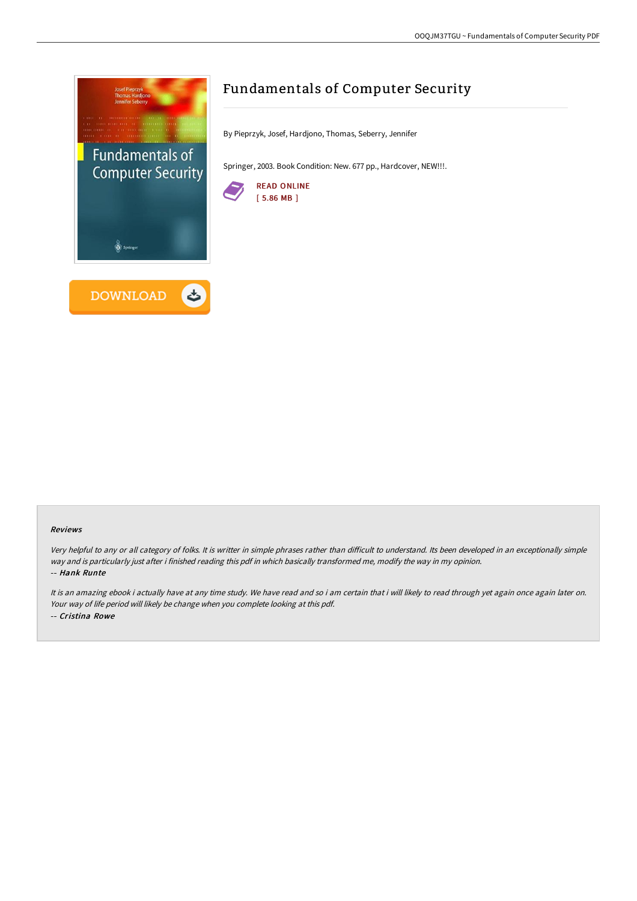

# Fundamentals of Computer Security

By Pieprzyk, Josef, Hardjono, Thomas, Seberry, Jennifer

Springer, 2003. Book Condition: New. 677 pp., Hardcover, NEW!!!.



#### Reviews

Very helpful to any or all category of folks. It is writter in simple phrases rather than difficult to understand. Its been developed in an exceptionally simple way and is particularly just after i finished reading this pdf in which basically transformed me, modify the way in my opinion. -- Hank Runte

It is an amazing ebook i actually have at any time study. We have read and so i am certain that i will likely to read through yet again once again later on. Your way of life period will likely be change when you complete looking at this pdf. -- Cristina Rowe